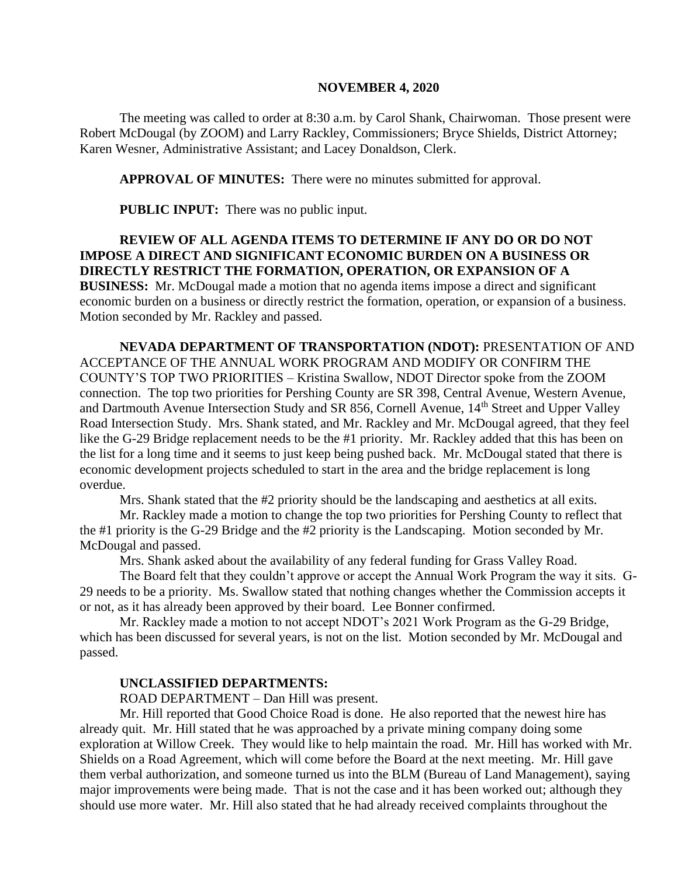#### **NOVEMBER 4, 2020**

The meeting was called to order at 8:30 a.m. by Carol Shank, Chairwoman. Those present were Robert McDougal (by ZOOM) and Larry Rackley, Commissioners; Bryce Shields, District Attorney; Karen Wesner, Administrative Assistant; and Lacey Donaldson, Clerk.

**APPROVAL OF MINUTES:** There were no minutes submitted for approval.

**PUBLIC INPUT:** There was no public input.

**REVIEW OF ALL AGENDA ITEMS TO DETERMINE IF ANY DO OR DO NOT IMPOSE A DIRECT AND SIGNIFICANT ECONOMIC BURDEN ON A BUSINESS OR DIRECTLY RESTRICT THE FORMATION, OPERATION, OR EXPANSION OF A BUSINESS:** Mr. McDougal made a motion that no agenda items impose a direct and significant economic burden on a business or directly restrict the formation, operation, or expansion of a business. Motion seconded by Mr. Rackley and passed.

**NEVADA DEPARTMENT OF TRANSPORTATION (NDOT):** PRESENTATION OF AND ACCEPTANCE OF THE ANNUAL WORK PROGRAM AND MODIFY OR CONFIRM THE COUNTY'S TOP TWO PRIORITIES – Kristina Swallow, NDOT Director spoke from the ZOOM connection. The top two priorities for Pershing County are SR 398, Central Avenue, Western Avenue, and Dartmouth Avenue Intersection Study and SR 856, Cornell Avenue, 14<sup>th</sup> Street and Upper Valley Road Intersection Study. Mrs. Shank stated, and Mr. Rackley and Mr. McDougal agreed, that they feel like the G-29 Bridge replacement needs to be the #1 priority. Mr. Rackley added that this has been on the list for a long time and it seems to just keep being pushed back. Mr. McDougal stated that there is economic development projects scheduled to start in the area and the bridge replacement is long overdue.

Mrs. Shank stated that the #2 priority should be the landscaping and aesthetics at all exits.

Mr. Rackley made a motion to change the top two priorities for Pershing County to reflect that the #1 priority is the G-29 Bridge and the #2 priority is the Landscaping. Motion seconded by Mr. McDougal and passed.

Mrs. Shank asked about the availability of any federal funding for Grass Valley Road.

The Board felt that they couldn't approve or accept the Annual Work Program the way it sits. G-29 needs to be a priority. Ms. Swallow stated that nothing changes whether the Commission accepts it or not, as it has already been approved by their board. Lee Bonner confirmed.

Mr. Rackley made a motion to not accept NDOT's 2021 Work Program as the G-29 Bridge, which has been discussed for several years, is not on the list. Motion seconded by Mr. McDougal and passed.

#### **UNCLASSIFIED DEPARTMENTS:**

ROAD DEPARTMENT – Dan Hill was present.

Mr. Hill reported that Good Choice Road is done. He also reported that the newest hire has already quit. Mr. Hill stated that he was approached by a private mining company doing some exploration at Willow Creek. They would like to help maintain the road. Mr. Hill has worked with Mr. Shields on a Road Agreement, which will come before the Board at the next meeting. Mr. Hill gave them verbal authorization, and someone turned us into the BLM (Bureau of Land Management), saying major improvements were being made. That is not the case and it has been worked out; although they should use more water. Mr. Hill also stated that he had already received complaints throughout the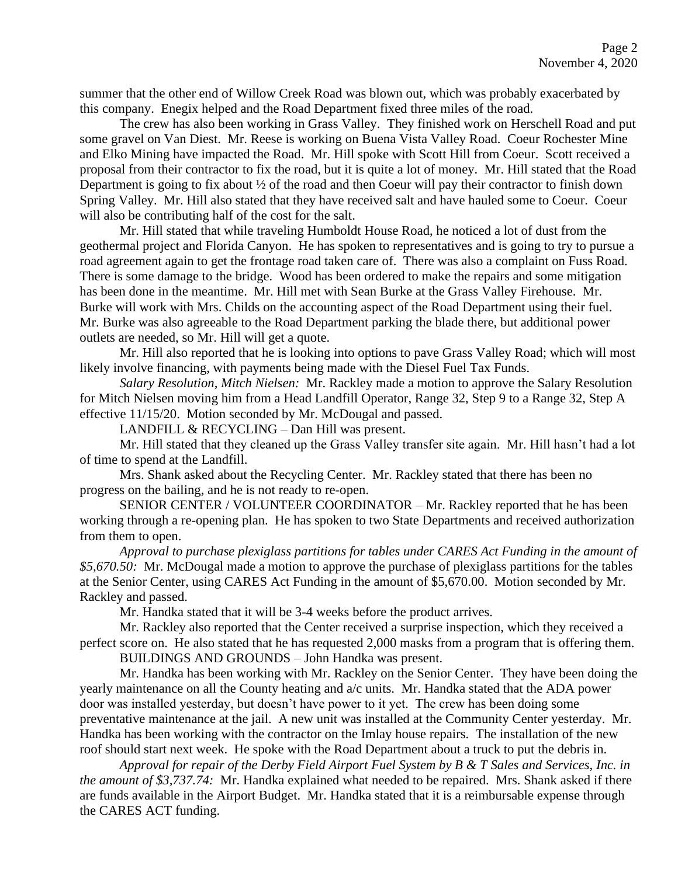summer that the other end of Willow Creek Road was blown out, which was probably exacerbated by this company. Enegix helped and the Road Department fixed three miles of the road.

The crew has also been working in Grass Valley. They finished work on Herschell Road and put some gravel on Van Diest. Mr. Reese is working on Buena Vista Valley Road. Coeur Rochester Mine and Elko Mining have impacted the Road. Mr. Hill spoke with Scott Hill from Coeur. Scott received a proposal from their contractor to fix the road, but it is quite a lot of money. Mr. Hill stated that the Road Department is going to fix about  $\frac{1}{2}$  of the road and then Coeur will pay their contractor to finish down Spring Valley. Mr. Hill also stated that they have received salt and have hauled some to Coeur. Coeur will also be contributing half of the cost for the salt.

Mr. Hill stated that while traveling Humboldt House Road, he noticed a lot of dust from the geothermal project and Florida Canyon. He has spoken to representatives and is going to try to pursue a road agreement again to get the frontage road taken care of. There was also a complaint on Fuss Road. There is some damage to the bridge. Wood has been ordered to make the repairs and some mitigation has been done in the meantime. Mr. Hill met with Sean Burke at the Grass Valley Firehouse. Mr. Burke will work with Mrs. Childs on the accounting aspect of the Road Department using their fuel. Mr. Burke was also agreeable to the Road Department parking the blade there, but additional power outlets are needed, so Mr. Hill will get a quote.

Mr. Hill also reported that he is looking into options to pave Grass Valley Road; which will most likely involve financing, with payments being made with the Diesel Fuel Tax Funds.

*Salary Resolution, Mitch Nielsen:* Mr. Rackley made a motion to approve the Salary Resolution for Mitch Nielsen moving him from a Head Landfill Operator, Range 32, Step 9 to a Range 32, Step A effective 11/15/20. Motion seconded by Mr. McDougal and passed.

LANDFILL & RECYCLING – Dan Hill was present.

Mr. Hill stated that they cleaned up the Grass Valley transfer site again. Mr. Hill hasn't had a lot of time to spend at the Landfill.

Mrs. Shank asked about the Recycling Center. Mr. Rackley stated that there has been no progress on the bailing, and he is not ready to re-open.

SENIOR CENTER / VOLUNTEER COORDINATOR – Mr. Rackley reported that he has been working through a re-opening plan. He has spoken to two State Departments and received authorization from them to open.

*Approval to purchase plexiglass partitions for tables under CARES Act Funding in the amount of \$5,670.50:* Mr. McDougal made a motion to approve the purchase of plexiglass partitions for the tables at the Senior Center, using CARES Act Funding in the amount of \$5,670.00. Motion seconded by Mr. Rackley and passed.

Mr. Handka stated that it will be 3-4 weeks before the product arrives.

Mr. Rackley also reported that the Center received a surprise inspection, which they received a perfect score on. He also stated that he has requested 2,000 masks from a program that is offering them.

BUILDINGS AND GROUNDS – John Handka was present.

Mr. Handka has been working with Mr. Rackley on the Senior Center. They have been doing the yearly maintenance on all the County heating and a/c units. Mr. Handka stated that the ADA power door was installed yesterday, but doesn't have power to it yet. The crew has been doing some preventative maintenance at the jail. A new unit was installed at the Community Center yesterday. Mr. Handka has been working with the contractor on the Imlay house repairs. The installation of the new roof should start next week. He spoke with the Road Department about a truck to put the debris in.

*Approval for repair of the Derby Field Airport Fuel System by B & T Sales and Services, Inc. in the amount of \$3,737.74:* Mr. Handka explained what needed to be repaired. Mrs. Shank asked if there are funds available in the Airport Budget. Mr. Handka stated that it is a reimbursable expense through the CARES ACT funding.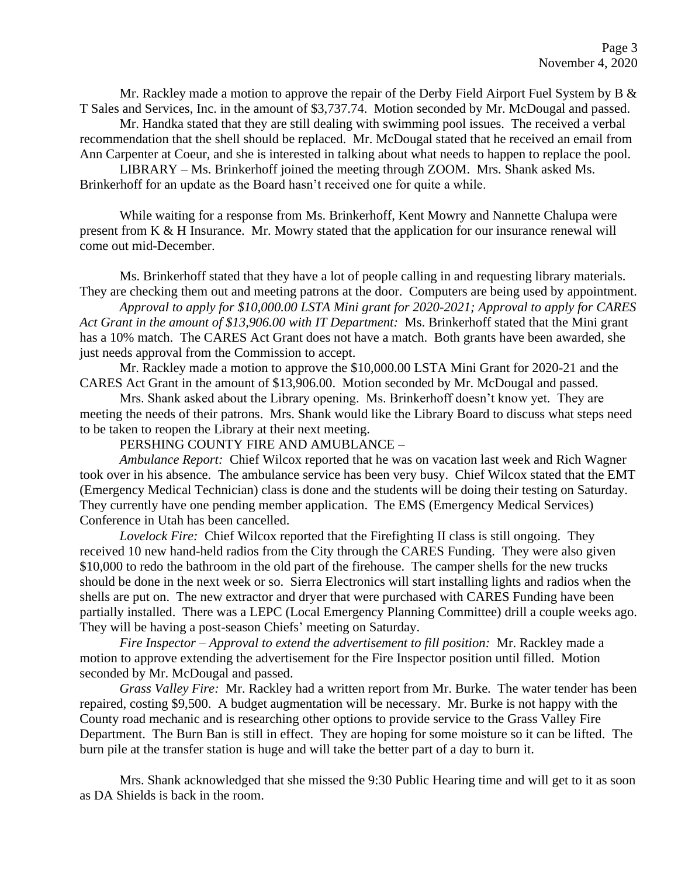Mr. Rackley made a motion to approve the repair of the Derby Field Airport Fuel System by B  $\&$ T Sales and Services, Inc. in the amount of \$3,737.74. Motion seconded by Mr. McDougal and passed.

Mr. Handka stated that they are still dealing with swimming pool issues. The received a verbal recommendation that the shell should be replaced. Mr. McDougal stated that he received an email from Ann Carpenter at Coeur, and she is interested in talking about what needs to happen to replace the pool.

LIBRARY – Ms. Brinkerhoff joined the meeting through ZOOM. Mrs. Shank asked Ms. Brinkerhoff for an update as the Board hasn't received one for quite a while.

While waiting for a response from Ms. Brinkerhoff, Kent Mowry and Nannette Chalupa were present from K & H Insurance. Mr. Mowry stated that the application for our insurance renewal will come out mid-December.

Ms. Brinkerhoff stated that they have a lot of people calling in and requesting library materials. They are checking them out and meeting patrons at the door. Computers are being used by appointment.

*Approval to apply for \$10,000.00 LSTA Mini grant for 2020-2021; Approval to apply for CARES Act Grant in the amount of \$13,906.00 with IT Department:* Ms. Brinkerhoff stated that the Mini grant has a 10% match. The CARES Act Grant does not have a match. Both grants have been awarded, she just needs approval from the Commission to accept.

Mr. Rackley made a motion to approve the \$10,000.00 LSTA Mini Grant for 2020-21 and the CARES Act Grant in the amount of \$13,906.00. Motion seconded by Mr. McDougal and passed.

Mrs. Shank asked about the Library opening. Ms. Brinkerhoff doesn't know yet. They are meeting the needs of their patrons. Mrs. Shank would like the Library Board to discuss what steps need to be taken to reopen the Library at their next meeting.

PERSHING COUNTY FIRE AND AMUBLANCE –

*Ambulance Report:* Chief Wilcox reported that he was on vacation last week and Rich Wagner took over in his absence. The ambulance service has been very busy. Chief Wilcox stated that the EMT (Emergency Medical Technician) class is done and the students will be doing their testing on Saturday. They currently have one pending member application. The EMS (Emergency Medical Services) Conference in Utah has been cancelled.

*Lovelock Fire:* Chief Wilcox reported that the Firefighting II class is still ongoing. They received 10 new hand-held radios from the City through the CARES Funding. They were also given \$10,000 to redo the bathroom in the old part of the firehouse. The camper shells for the new trucks should be done in the next week or so. Sierra Electronics will start installing lights and radios when the shells are put on. The new extractor and dryer that were purchased with CARES Funding have been partially installed. There was a LEPC (Local Emergency Planning Committee) drill a couple weeks ago. They will be having a post-season Chiefs' meeting on Saturday.

*Fire Inspector – Approval to extend the advertisement to fill position:* Mr. Rackley made a motion to approve extending the advertisement for the Fire Inspector position until filled. Motion seconded by Mr. McDougal and passed.

*Grass Valley Fire:* Mr. Rackley had a written report from Mr. Burke. The water tender has been repaired, costing \$9,500. A budget augmentation will be necessary. Mr. Burke is not happy with the County road mechanic and is researching other options to provide service to the Grass Valley Fire Department. The Burn Ban is still in effect. They are hoping for some moisture so it can be lifted. The burn pile at the transfer station is huge and will take the better part of a day to burn it.

Mrs. Shank acknowledged that she missed the 9:30 Public Hearing time and will get to it as soon as DA Shields is back in the room.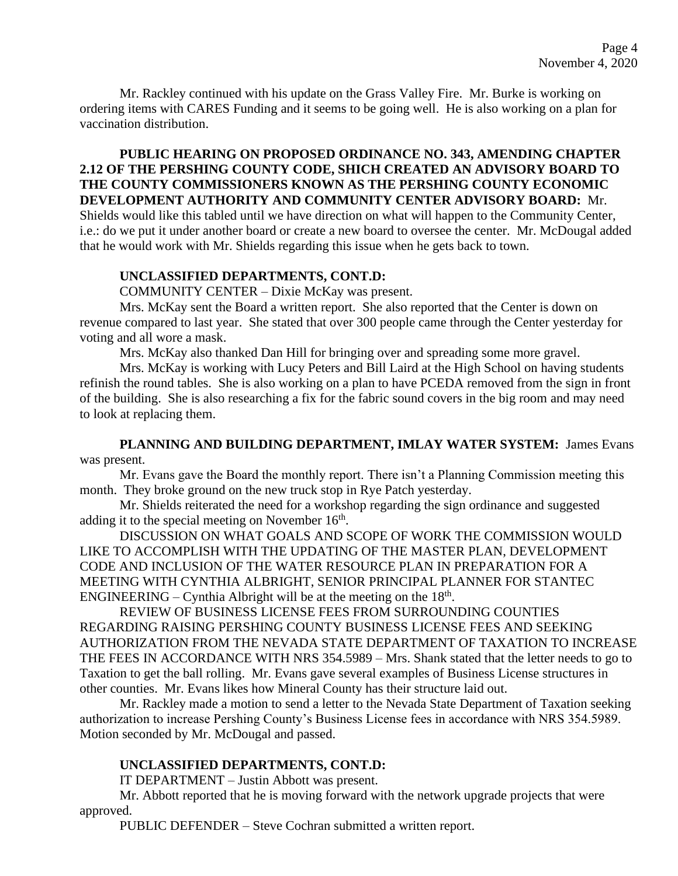Mr. Rackley continued with his update on the Grass Valley Fire. Mr. Burke is working on ordering items with CARES Funding and it seems to be going well. He is also working on a plan for vaccination distribution.

# **PUBLIC HEARING ON PROPOSED ORDINANCE NO. 343, AMENDING CHAPTER 2.12 OF THE PERSHING COUNTY CODE, SHICH CREATED AN ADVISORY BOARD TO THE COUNTY COMMISSIONERS KNOWN AS THE PERSHING COUNTY ECONOMIC DEVELOPMENT AUTHORITY AND COMMUNITY CENTER ADVISORY BOARD:** Mr.

Shields would like this tabled until we have direction on what will happen to the Community Center, i.e.: do we put it under another board or create a new board to oversee the center. Mr. McDougal added that he would work with Mr. Shields regarding this issue when he gets back to town.

### **UNCLASSIFIED DEPARTMENTS, CONT.D:**

COMMUNITY CENTER – Dixie McKay was present.

Mrs. McKay sent the Board a written report. She also reported that the Center is down on revenue compared to last year. She stated that over 300 people came through the Center yesterday for voting and all wore a mask.

Mrs. McKay also thanked Dan Hill for bringing over and spreading some more gravel.

Mrs. McKay is working with Lucy Peters and Bill Laird at the High School on having students refinish the round tables. She is also working on a plan to have PCEDA removed from the sign in front of the building. She is also researching a fix for the fabric sound covers in the big room and may need to look at replacing them.

**PLANNING AND BUILDING DEPARTMENT, IMLAY WATER SYSTEM:** James Evans was present.

Mr. Evans gave the Board the monthly report. There isn't a Planning Commission meeting this month. They broke ground on the new truck stop in Rye Patch yesterday.

Mr. Shields reiterated the need for a workshop regarding the sign ordinance and suggested adding it to the special meeting on November  $16<sup>th</sup>$ .

DISCUSSION ON WHAT GOALS AND SCOPE OF WORK THE COMMISSION WOULD LIKE TO ACCOMPLISH WITH THE UPDATING OF THE MASTER PLAN, DEVELOPMENT CODE AND INCLUSION OF THE WATER RESOURCE PLAN IN PREPARATION FOR A MEETING WITH CYNTHIA ALBRIGHT, SENIOR PRINCIPAL PLANNER FOR STANTEC ENGINEERING – Cynthia Albright will be at the meeting on the  $18<sup>th</sup>$ .

REVIEW OF BUSINESS LICENSE FEES FROM SURROUNDING COUNTIES REGARDING RAISING PERSHING COUNTY BUSINESS LICENSE FEES AND SEEKING AUTHORIZATION FROM THE NEVADA STATE DEPARTMENT OF TAXATION TO INCREASE THE FEES IN ACCORDANCE WITH NRS 354.5989 – Mrs. Shank stated that the letter needs to go to Taxation to get the ball rolling. Mr. Evans gave several examples of Business License structures in other counties. Mr. Evans likes how Mineral County has their structure laid out.

Mr. Rackley made a motion to send a letter to the Nevada State Department of Taxation seeking authorization to increase Pershing County's Business License fees in accordance with NRS 354.5989. Motion seconded by Mr. McDougal and passed.

## **UNCLASSIFIED DEPARTMENTS, CONT.D:**

IT DEPARTMENT – Justin Abbott was present.

Mr. Abbott reported that he is moving forward with the network upgrade projects that were approved.

PUBLIC DEFENDER – Steve Cochran submitted a written report.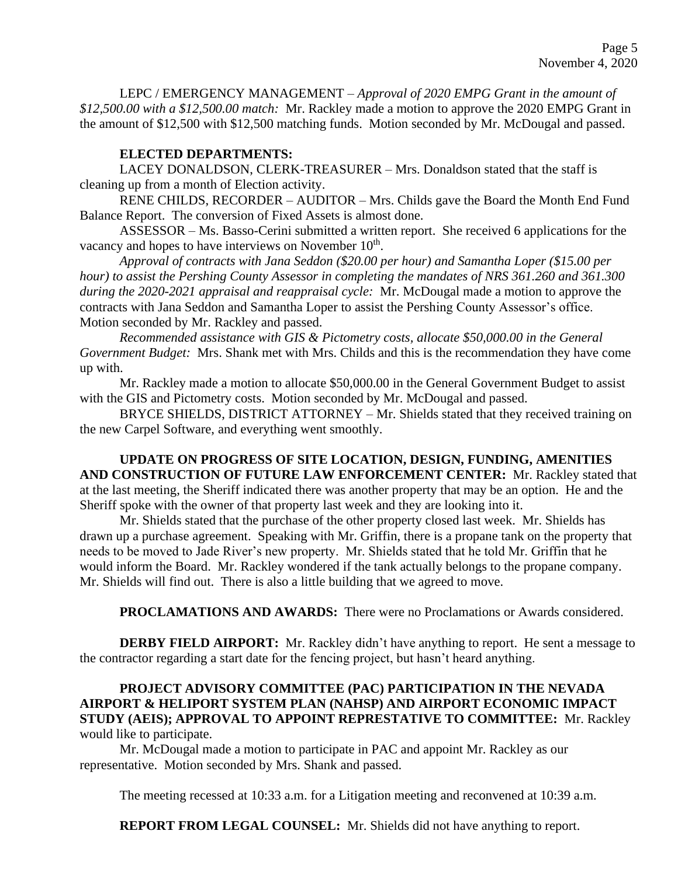LEPC / EMERGENCY MANAGEMENT – *Approval of 2020 EMPG Grant in the amount of \$12,500.00 with a \$12,500.00 match:* Mr. Rackley made a motion to approve the 2020 EMPG Grant in the amount of \$12,500 with \$12,500 matching funds. Motion seconded by Mr. McDougal and passed.

## **ELECTED DEPARTMENTS:**

LACEY DONALDSON, CLERK-TREASURER – Mrs. Donaldson stated that the staff is cleaning up from a month of Election activity.

RENE CHILDS, RECORDER – AUDITOR – Mrs. Childs gave the Board the Month End Fund Balance Report. The conversion of Fixed Assets is almost done.

ASSESSOR – Ms. Basso-Cerini submitted a written report. She received 6 applications for the vacancy and hopes to have interviews on November  $10<sup>th</sup>$ .

*Approval of contracts with Jana Seddon (\$20.00 per hour) and Samantha Loper (\$15.00 per hour) to assist the Pershing County Assessor in completing the mandates of NRS 361.260 and 361.300 during the 2020-2021 appraisal and reappraisal cycle:* Mr. McDougal made a motion to approve the contracts with Jana Seddon and Samantha Loper to assist the Pershing County Assessor's office. Motion seconded by Mr. Rackley and passed.

*Recommended assistance with GIS & Pictometry costs, allocate \$50,000.00 in the General Government Budget:* Mrs. Shank met with Mrs. Childs and this is the recommendation they have come up with.

Mr. Rackley made a motion to allocate \$50,000.00 in the General Government Budget to assist with the GIS and Pictometry costs. Motion seconded by Mr. McDougal and passed.

BRYCE SHIELDS, DISTRICT ATTORNEY – Mr. Shields stated that they received training on the new Carpel Software, and everything went smoothly.

**UPDATE ON PROGRESS OF SITE LOCATION, DESIGN, FUNDING, AMENITIES AND CONSTRUCTION OF FUTURE LAW ENFORCEMENT CENTER:** Mr. Rackley stated that at the last meeting, the Sheriff indicated there was another property that may be an option. He and the Sheriff spoke with the owner of that property last week and they are looking into it.

Mr. Shields stated that the purchase of the other property closed last week. Mr. Shields has drawn up a purchase agreement. Speaking with Mr. Griffin, there is a propane tank on the property that needs to be moved to Jade River's new property. Mr. Shields stated that he told Mr. Griffin that he would inform the Board. Mr. Rackley wondered if the tank actually belongs to the propane company. Mr. Shields will find out. There is also a little building that we agreed to move.

**PROCLAMATIONS AND AWARDS:** There were no Proclamations or Awards considered.

**DERBY FIELD AIRPORT:** Mr. Rackley didn't have anything to report. He sent a message to the contractor regarding a start date for the fencing project, but hasn't heard anything.

# **PROJECT ADVISORY COMMITTEE (PAC) PARTICIPATION IN THE NEVADA AIRPORT & HELIPORT SYSTEM PLAN (NAHSP) AND AIRPORT ECONOMIC IMPACT STUDY (AEIS); APPROVAL TO APPOINT REPRESTATIVE TO COMMITTEE:** Mr. Rackley would like to participate.

Mr. McDougal made a motion to participate in PAC and appoint Mr. Rackley as our representative. Motion seconded by Mrs. Shank and passed.

The meeting recessed at 10:33 a.m. for a Litigation meeting and reconvened at 10:39 a.m.

**REPORT FROM LEGAL COUNSEL:** Mr. Shields did not have anything to report.